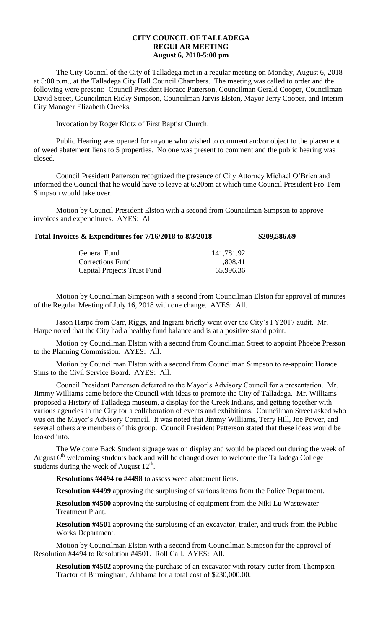## **CITY COUNCIL OF TALLADEGA REGULAR MEETING August 6, 2018-5:00 pm**

The City Council of the City of Talladega met in a regular meeting on Monday, August 6, 2018 at 5:00 p.m., at the Talladega City Hall Council Chambers. The meeting was called to order and the following were present: Council President Horace Patterson, Councilman Gerald Cooper, Councilman David Street, Councilman Ricky Simpson, Councilman Jarvis Elston, Mayor Jerry Cooper, and Interim City Manager Elizabeth Cheeks.

Invocation by Roger Klotz of First Baptist Church.

Public Hearing was opened for anyone who wished to comment and/or object to the placement of weed abatement liens to 5 properties. No one was present to comment and the public hearing was closed.

Council President Patterson recognized the presence of City Attorney Michael O'Brien and informed the Council that he would have to leave at 6:20pm at which time Council President Pro-Tem Simpson would take over.

Motion by Council President Elston with a second from Councilman Simpson to approve invoices and expenditures. AYES: All

| Total Invoices & Expenditures for 7/16/2018 to 8/3/2018 |  | \$209,586.69 |  |
|---------------------------------------------------------|--|--------------|--|
|                                                         |  |              |  |

| General Fund                | 141,781.92 |
|-----------------------------|------------|
| Corrections Fund            | 1,808.41   |
| Capital Projects Trust Fund | 65,996.36  |

Motion by Councilman Simpson with a second from Councilman Elston for approval of minutes of the Regular Meeting of July 16, 2018 with one change. AYES: All.

Jason Harpe from Carr, Riggs, and Ingram briefly went over the City's FY2017 audit. Mr. Harpe noted that the City had a healthy fund balance and is at a positive stand point.

Motion by Councilman Elston with a second from Councilman Street to appoint Phoebe Presson to the Planning Commission. AYES: All.

Motion by Councilman Elston with a second from Councilman Simpson to re-appoint Horace Sims to the Civil Service Board. AYES: All.

Council President Patterson deferred to the Mayor's Advisory Council for a presentation. Mr. Jimmy Williams came before the Council with ideas to promote the City of Talladega. Mr. Williams proposed a History of Talladega museum, a display for the Creek Indians, and getting together with various agencies in the City for a collaboration of events and exhibitions. Councilman Street asked who was on the Mayor's Advisory Council. It was noted that Jimmy Williams, Terry Hill, Joe Power, and several others are members of this group. Council President Patterson stated that these ideas would be looked into.

The Welcome Back Student signage was on display and would be placed out during the week of August  $6<sup>th</sup>$  welcoming students back and will be changed over to welcome the Talladega College students during the week of August  $12<sup>th</sup>$ .

**Resolutions #4494 to #4498** to assess weed abatement liens.

**Resolution #4499** approving the surplusing of various items from the Police Department.

**Resolution #4500** approving the surplusing of equipment from the Niki Lu Wastewater Treatment Plant.

**Resolution #4501** approving the surplusing of an excavator, trailer, and truck from the Public Works Department.

Motion by Councilman Elston with a second from Councilman Simpson for the approval of Resolution #4494 to Resolution #4501. Roll Call. AYES: All.

**Resolution #4502** approving the purchase of an excavator with rotary cutter from Thompson Tractor of Birmingham, Alabama for a total cost of \$230,000.00.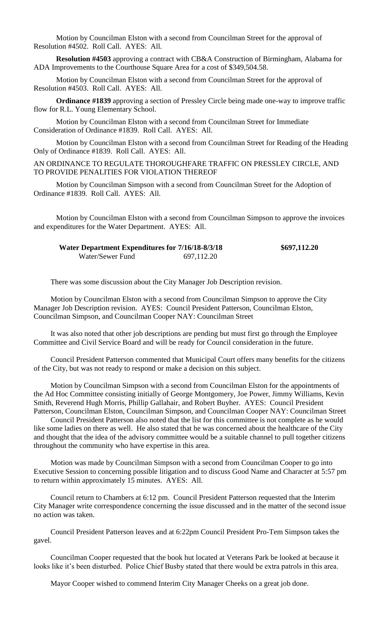Motion by Councilman Elston with a second from Councilman Street for the approval of Resolution #4502. Roll Call. AYES: All.

**Resolution #4503** approving a contract with CB&A Construction of Birmingham, Alabama for ADA Improvements to the Courthouse Square Area for a cost of \$349,504.58.

Motion by Councilman Elston with a second from Councilman Street for the approval of Resolution #4503. Roll Call. AYES: All.

**Ordinance #1839** approving a section of Pressley Circle being made one-way to improve traffic flow for R.L. Young Elementary School.

Motion by Councilman Elston with a second from Councilman Street for Immediate Consideration of Ordinance #1839. Roll Call. AYES: All.

Motion by Councilman Elston with a second from Councilman Street for Reading of the Heading Only of Ordinance #1839. Roll Call. AYES: All.

AN ORDINANCE TO REGULATE THOROUGHFARE TRAFFIC ON PRESSLEY CIRCLE, AND TO PROVIDE PENALITIES FOR VIOLATION THEREOF

Motion by Councilman Simpson with a second from Councilman Street for the Adoption of Ordinance #1839. Roll Call. AYES: All.

Motion by Councilman Elston with a second from Councilman Simpson to approve the invoices and expenditures for the Water Department. AYES: All.

| Water Department Expenditures for 7/16/18-8/3/18 | \$697,112.20 |  |
|--------------------------------------------------|--------------|--|
| Water/Sewer Fund                                 | 697,112.20   |  |

There was some discussion about the City Manager Job Description revision.

Motion by Councilman Elston with a second from Councilman Simpson to approve the City Manager Job Description revision. AYES: Council President Patterson, Councilman Elston, Councilman Simpson, and Councilman Cooper NAY: Councilman Street

It was also noted that other job descriptions are pending but must first go through the Employee Committee and Civil Service Board and will be ready for Council consideration in the future.

Council President Patterson commented that Municipal Court offers many benefits for the citizens of the City, but was not ready to respond or make a decision on this subject.

Motion by Councilman Simpson with a second from Councilman Elston for the appointments of the Ad Hoc Committee consisting initially of George Montgomery, Joe Power, Jimmy Williams, Kevin Smith, Reverend Hugh Morris, Phillip Gallahair, and Robert Buyher. AYES: Council President Patterson, Councilman Elston, Councilman Simpson, and Councilman Cooper NAY: Councilman Street

Council President Patterson also noted that the list for this committee is not complete as he would like some ladies on there as well. He also stated that he was concerned about the healthcare of the City and thought that the idea of the advisory committee would be a suitable channel to pull together citizens throughout the community who have expertise in this area.

Motion was made by Councilman Simpson with a second from Councilman Cooper to go into Executive Session to concerning possible litigation and to discuss Good Name and Character at 5:57 pm to return within approximately 15 minutes. AYES: All.

Council return to Chambers at 6:12 pm. Council President Patterson requested that the Interim City Manager write correspondence concerning the issue discussed and in the matter of the second issue no action was taken.

Council President Patterson leaves and at 6:22pm Council President Pro-Tem Simpson takes the gavel.

Councilman Cooper requested that the book hut located at Veterans Park be looked at because it looks like it's been disturbed. Police Chief Busby stated that there would be extra patrols in this area.

Mayor Cooper wished to commend Interim City Manager Cheeks on a great job done.